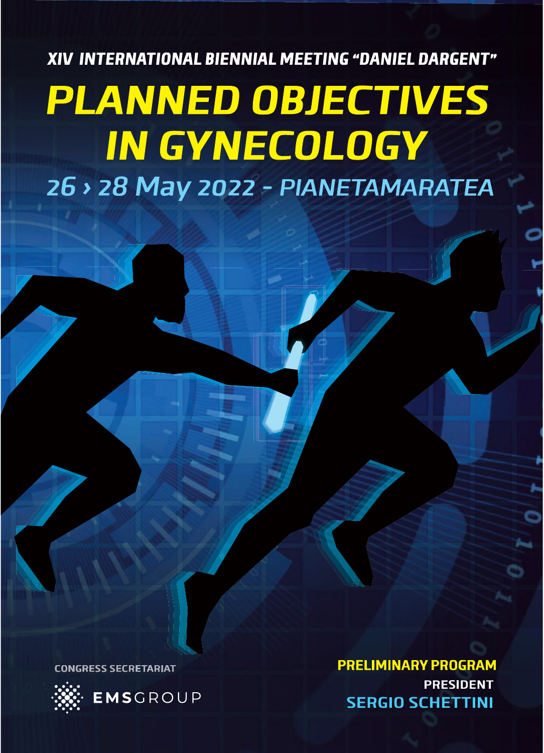**XIV INTERNATIONAL BIENNIAL MEETING "DANIEL DARGENT"** 

# **PLANNED OBJECTIVES IN GYNECOLOGY** 26 > 28 May 2022 - PIANETAMARATEA

**CONGRESS SECRETARIAT** 



**PRELIMINARY PROGRAM PRESIDENT SERGIO SCHETTINI**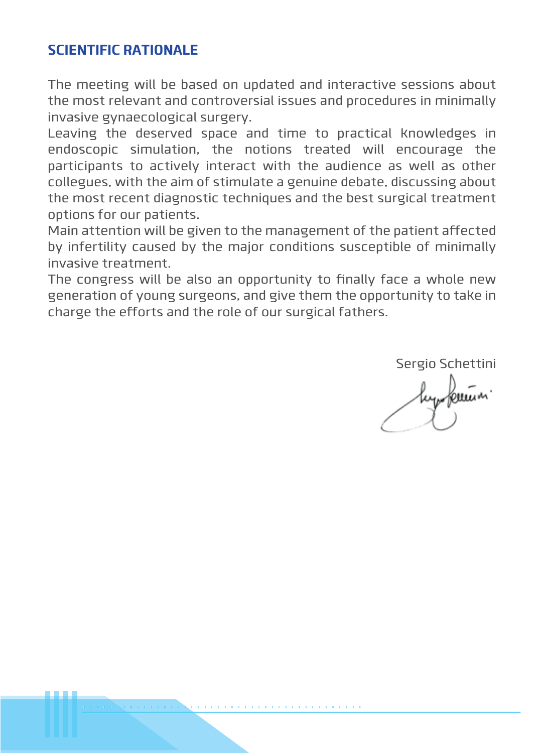## SCIENTIFIC RATIONALE

The meeting will be based on updated and interactive sessions about the most relevant and controversial issues and procedures in minimally invasive gynaecological surgery.

Leaving the deserved space and time to practical knowledges in endoscopic simulation, the notions treated will encourage the participants to actively interact with the audience as well as other collegues, with the aim of stimulate a genuine debate, discussing about the most recent diagnostic techniques and the best surgical treatment options for our patients.

Main attention will be given to the management of the patient affected by infertility caused by the major conditions susceptible of minimally invasive treatment.

The congress will be also an opportunity to finally face a whole new generation of young surgeons, and give them the opportunity to take in charge the efforts and the role of our surgical fathers.

Sergio Schettini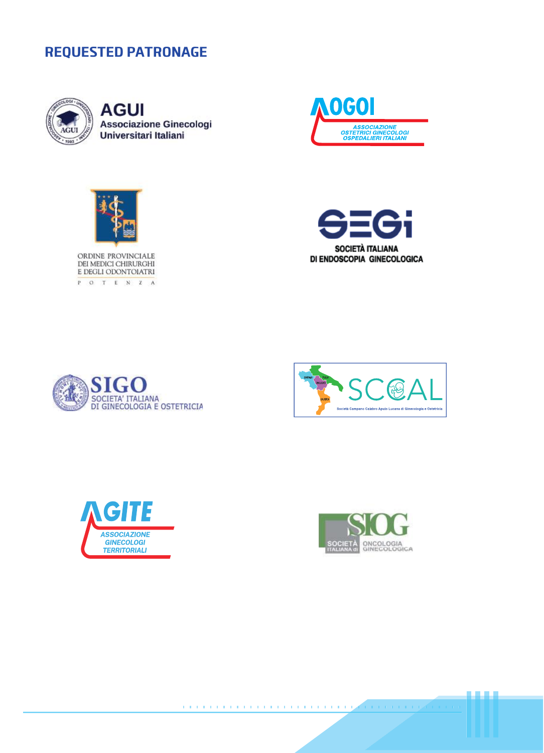## REQUESTED PATRONAGE



**AGUI Associazione Ginecologi** Universitari Italiani





ORDINE PROVINCIALE DEI MEDICI CHIRURGHI E DEGLI ODONTOIATRI POTENZA











. . . .

 $\label{eq:3.1} \begin{split} \mathbf{r} &\cdot\mathbf{r} + \mathbf{r} + \mathbf{r} + \mathbf{r} + \mathbf{r} + \mathbf{r} + \mathbf{r} + \mathbf{r} + \mathbf{r} + \mathbf{r} + \mathbf{r} + \mathbf{r} + \mathbf{r} + \mathbf{r} + \mathbf{r} \end{split}$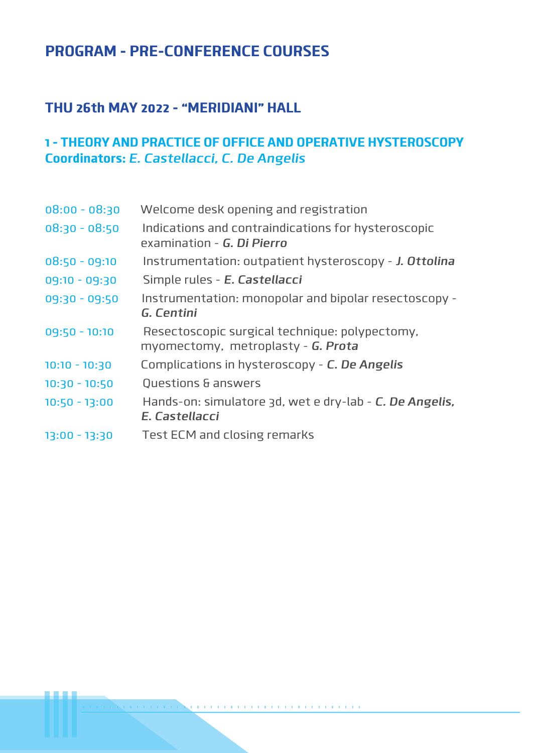# PROGRAM - PRE-CONFERENCE COURSES

# THU 26th MAY 2022 - "MERIDIANI" HALL

## 1 - THEORY AND PRACTICE OF OFFICE AND OPERATIVE HYSTEROSCOPY Coordinators: **E. Castellacci, C. De Angelis**

| $08:00 - 08:30$ | Welcome desk opening and registration                                                |
|-----------------|--------------------------------------------------------------------------------------|
| $08:30 - 08:50$ | Indications and contraindications for hysteroscopic<br>examination - G. Di Pierro    |
| $08:50 - 09:10$ | Instrumentation: outpatient hysteroscopy - J. Ottolina                               |
| $09:10 - 09:30$ | Simple rules - E. Castellacci                                                        |
| $09:30 - 09:50$ | Instrumentation: monopolar and bipolar resectoscopy -<br>G. Centini                  |
| $09:50 - 10:10$ | Resectoscopic surgical technique: polypectomy,<br>myomectomy, metroplasty - G. Prota |
| $10:10 - 10:30$ | Complications in hysteroscopy - C. De Angelis                                        |
| $10:30 - 10:50$ | <b>Ouestions &amp; answers</b>                                                       |
| $10:50 - 13:00$ | Hands-on: simulatore 3d, wet e dry-lab - C. De Angelis,<br>E. Castellacci            |
| $13:00 - 13:30$ | Test ECM and closing remarks                                                         |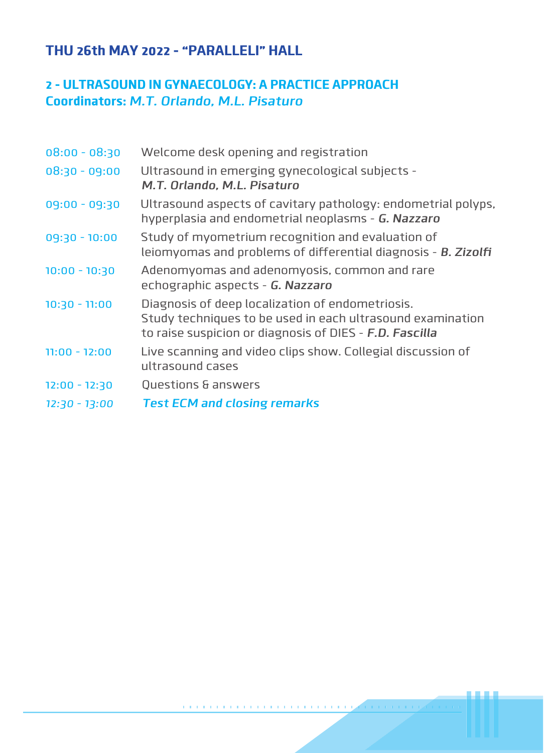## THU 26th MAY 2022 - "PARALLELI" HALL

## 2 - ULTRASOUND IN GYNAECOLOGY: A PRACTICE APPROACH Coordinators: **M.T. Orlando, M.L. Pisaturo**

| $08:00 - 08:30$ | Welcome desk opening and registration                                                                                                                                     |
|-----------------|---------------------------------------------------------------------------------------------------------------------------------------------------------------------------|
| $08:30 - 09:00$ | Ultrasound in emerging gynecological subjects -<br>M.T. Orlando. M.L. Pisaturo                                                                                            |
| $09:00 - 09:30$ | Ultrasound aspects of cavitary pathology: endometrial polyps,<br>hyperplasia and endometrial neoplasms - G. Nazzaro                                                       |
| $09:30 - 10:00$ | Study of myometrium recognition and evaluation of<br>leiomyomas and problems of differential diagnosis - B. Zizolfi                                                       |
| $10:00 - 10:30$ | Adenomyomas and adenomyosis, common and rare<br>echographic aspects - G. Nazzaro                                                                                          |
| $10:30 - 11:00$ | Diagnosis of deep localization of endometriosis.<br>Study techniques to be used in each ultrasound examination<br>to raise suspicion or diagnosis of DIES - F.D. Fascilla |
| $11:00 - 12:00$ | Live scanning and video clips show. Collegial discussion of<br>ultrasound cases                                                                                           |
| $12:00 - 12:30$ | Questions & answers                                                                                                                                                       |
| $12:30 - 13:00$ | <b>Test ECM and closing remarks</b>                                                                                                                                       |
|                 |                                                                                                                                                                           |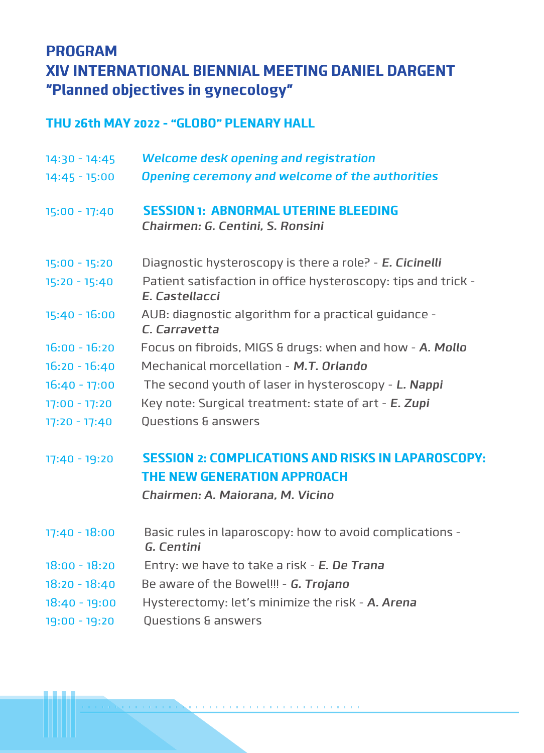# PROGRAM XIV INTERNATIONAL BIENNIAL MEETING DANIEL DARGENT "Planned objectives in gynecology"

## THU 26th MAY 2022 - "GLOBO" PLENARY HALL

| 14:30 - 14:45   | <b>Welcome desk opening and registration</b>                                             |
|-----------------|------------------------------------------------------------------------------------------|
| $14:45 - 15:00$ | Opening ceremony and welcome of the authorities                                          |
| 15:00 - 17:40   | <b>SESSION 1: ABNORMAL UTERINE BLEEDING</b><br>Chairmen: G. Centini, S. Ronsini          |
| $15:00 - 15:20$ | Diagnostic hysteroscopy is there a role? - E. Cicinelli                                  |
| 15:20 - 15:40   | Patient satisfaction in office hysteroscopy: tips and trick -<br>E. Castellacci          |
| $15:40 - 16:00$ | AUB: diagnostic algorithm for a practical guidance -<br>C. Carravetta                    |
| $16:00 - 16:20$ | Focus on fibroids, MIGS & drugs: when and how - A. Mollo                                 |
| 16:20 - 16:40   | Mechanical morcellation - M.T. Orlando                                                   |
| $16:40 - 17:00$ | The second youth of laser in hysteroscopy - L. Nappi                                     |
| $17:00 - 17:20$ | Key note: Surgical treatment: state of art - E. Zupi                                     |
| 17:20 - 17:40   | <b>Questions &amp; answers</b>                                                           |
| 17:40 - 19:20   | <b>SESSION 2: COMPLICATIONS AND RISKS IN LAPAROSCOPY:</b><br>THE NEW GENERATION APPROACH |
|                 | Chairmen: A. Maiorana. M. Vicino                                                         |
| 17:40 - 18:00   | Basic rules in laparoscopy: how to avoid complications -<br>G. Centini                   |
| $18:00 - 18:20$ | Entry: we have to take a risk - E. De Trana                                              |
| $18:20 - 18:40$ | Be aware of the Bowel!!! - G. Trojano                                                    |
| 18:40 - 19:00   | Hysterectomy: let's minimize the risk - A. Arena                                         |
| 19:00 - 19:20   | Questions & answers                                                                      |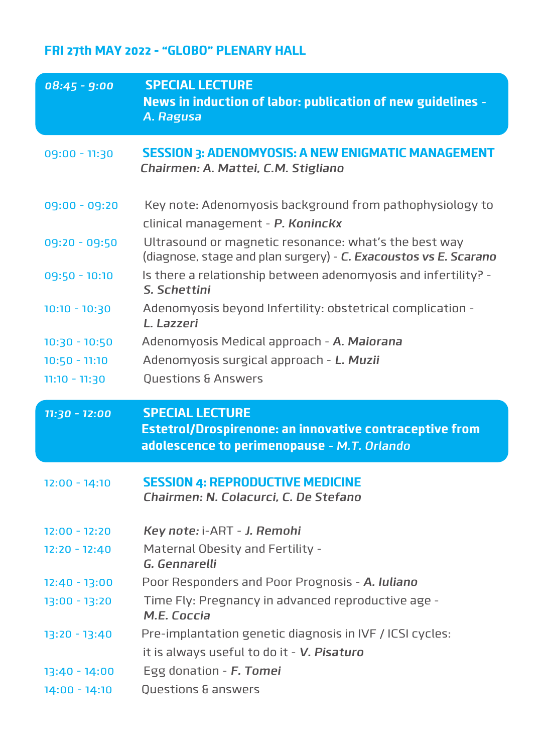## FRI 27th MAY 2022 - "GLOBO" PLENARY HALL

| 08:45 - 9:00    | <b>SPECIAL LECTURE</b><br>News in induction of labor: publication of new guidelines -<br>A. Ragusa                                      |
|-----------------|-----------------------------------------------------------------------------------------------------------------------------------------|
| 09:00 - 11:30   | <b>SESSION 3: ADENOMYOSIS: A NEW ENIGMATIC MANAGEMENT</b><br>Chairmen: A. Mattei, C.M. Stigliano                                        |
| $09:00 - 09:20$ | Key note: Adenomyosis background from pathophysiology to<br>clinical management - P. Koninckx                                           |
| 09:20 - 09:50   | Ultrasound or magnetic resonance: what's the best way<br>(diagnose, stage and plan surgery) - C. Exacoustos vs E. Scarano               |
| $09:50 - 10:10$ | Is there a relationship between adenomyosis and infertility? -<br>S. Schettini                                                          |
| $10:10 - 10:30$ | Adenomyosis beyond Infertility: obstetrical complication -<br>L. Lazzeri                                                                |
| $10:30 - 10:50$ | Adenomyosis Medical approach - A. Maiorana                                                                                              |
| $10:50 - 11:10$ | Adenomyosis surgical approach - L. Muzii                                                                                                |
| 11:10 - 11:30   | <b>Questions &amp; Answers</b>                                                                                                          |
|                 |                                                                                                                                         |
| 11:30 - 12:00   | <b>SPECIAL LECTURE</b><br><b>Estetrol/Drospirenone: an innovative contraceptive from</b><br>adolescence to perimenopause - M.T. Orlando |
| $12:00 - 14:10$ | <b>SESSION 4: REPRODUCTIVE MEDICINE</b><br>Chairmen: N. Colacurci, C. De Stefano                                                        |
| $12:00 - 12:20$ | Key note: i-ART - J. Remohi                                                                                                             |
| 12:20 - 12:40   | Maternal Obesity and Fertility -<br>G. Gennarelli                                                                                       |
| 12:40 - 13:00   | Poor Responders and Poor Prognosis - A. Iuliano                                                                                         |
| $13:00 - 13:20$ | Time Fly: Pregnancy in advanced reproductive age -<br>M.E. Coccia                                                                       |
| 13:20 - 13:40   | Pre-implantation genetic diagnosis in IVF / ICSI cycles:                                                                                |
|                 | it is always useful to do it - V. Pisaturo                                                                                              |
| $13:40 - 14:00$ | Egg donation - F. Tomei                                                                                                                 |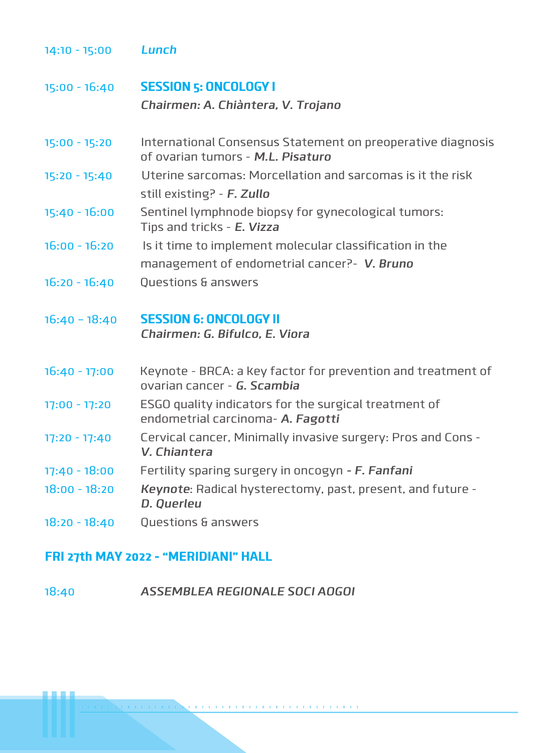| $14:10 - 15:00$ | Lunch                                                                                            |
|-----------------|--------------------------------------------------------------------------------------------------|
| $15:00 - 16:40$ | <b>SESSION 5: ONCOLOGY I</b>                                                                     |
|                 | Chairmen: A. Chiàntera, V. Trojano                                                               |
| $15:00 - 15:20$ | International Consensus Statement on preoperative diagnosis<br>of ovarian tumors - M.L. Pisaturo |
| $15:20 - 15:40$ | Uterine sarcomas: Morcellation and sarcomas is it the risk<br>still existing? - F. Zullo         |
| $15:40 - 16:00$ | Sentinel lymphnode biopsy for gynecological tumors:<br>Tips and tricks - E. Vizza                |
| $16:00 - 16:20$ | Is it time to implement molecular classification in the                                          |
|                 | management of endometrial cancer?- V. Bruno                                                      |
| $16:20 - 16:40$ | <b>Questions &amp; answers</b>                                                                   |
| $16:40 - 18:40$ | <b>SESSION 6: ONCOLOGY II</b><br>Chairmen: G. Bifulco, E. Viora                                  |
| $16:40 - 17:00$ | Keynote - BRCA: a key factor for prevention and treatment of<br>ovarian cancer - G. Scambia      |
| $17:00 - 17:20$ | ESGO quality indicators for the surgical treatment of<br>endometrial carcinoma- A. Fagotti       |
| 17:20 - 17:40   | Cervical cancer, Minimally invasive surgery: Pros and Cons -<br>V. Chiantera                     |
| $17:40 - 18:00$ | Fertility sparing surgery in oncogyn - F. Fanfani                                                |
| $18:00 - 18:20$ | Keynote: Radical hysterectomy, past, present, and future -<br>D. Querleu                         |
| $18:20 - 18:40$ | Questions & answers                                                                              |
|                 |                                                                                                  |

# FRI 27th MAY 2022 - "MERIDIANI" HALL

18:40 **ASSEMBLEA REGIONALE SOCI AOGOI**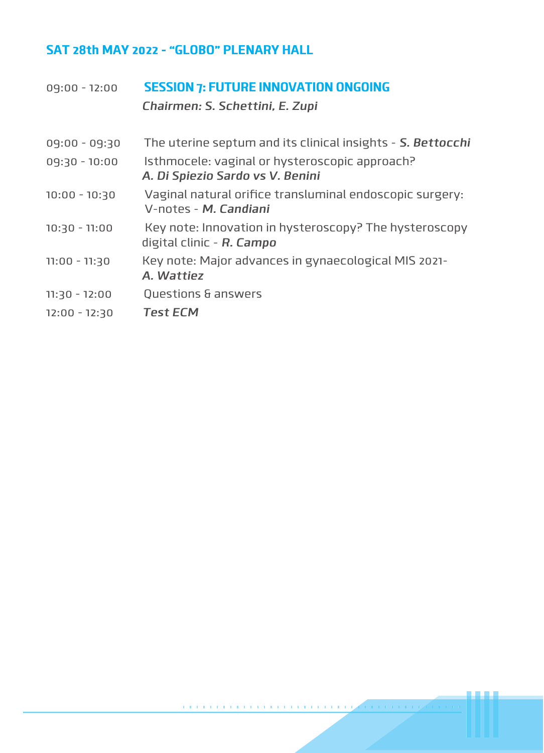## SAT 28th MAY 2022 - "GLOBO" PLENARY HALL

| $09:00 - 12:00$ | <b>SESSION 7: FUTURE INNOVATION ONGOING</b><br>Chairmen: S. Schettini, E. Zupi      |
|-----------------|-------------------------------------------------------------------------------------|
| 09:00 - 09:30   | The uterine septum and its clinical insights - S. Bettocchi                         |
| $09:30 - 10:00$ | Isthmocele: vaginal or hysteroscopic approach?<br>A. Di Spiezio Sardo vs V. Benini  |
| $10:00 - 10:30$ | Vaginal natural orifice transluminal endoscopic surgery:<br>V-notes - M. Candiani   |
| 10:30 - 11:00   | Key note: Innovation in hysteroscopy? The hysteroscopy<br>digital clinic - R. Campo |
| 11:00 - 11:30   | Key note: Major advances in gynaecological MIS 2021-<br>A. Wattiez                  |
| $11:30 - 12:00$ | <b>Ouestions &amp; answers</b>                                                      |
| 12:00 - 12:30   | <b>Test ECM</b>                                                                     |
|                 |                                                                                     |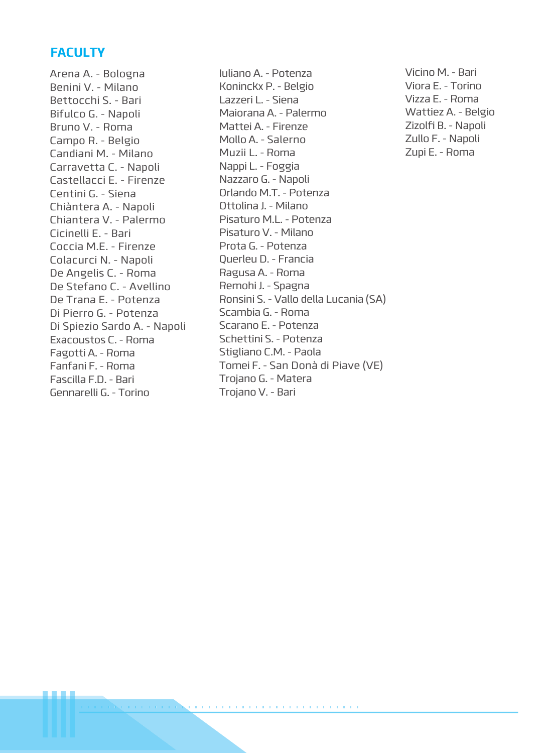#### **FACULTY**

Arena A. - Bologna Benini V. - Milano Bettocchi S. - Bari Bifulco G. - Napoli Bruno V. - Roma Campo R. - Belgio Candiani M. - Milano Carravetta C. - Napoli Castellacci E. - Firenze Centini G. - Siena Chiàntera A. - Napoli Chiantera V. - Palermo Cicinelli E. - Bari Coccia M.E. - Firenze Colacurci N. - Napoli De Angelis C. - Roma De Stefano C. - Avellino De Trana E. - Potenza Di Pierro G. - Potenza Di Spiezio Sardo A. - Napoli Exacoustos C. - Roma Fagotti A. - Roma Fanfani F. - Roma Fascilla F.D. - Bari Gennarelli G. - Torino

Iuliano A. - Potenza Koninckx P. - Belgio Lazzeri L. - Siena Maiorana A. - Palermo Mattei A. - Firenze Mollo A. - Salerno Muzii L. - Roma Nappi L. - Foggia Nazzaro G. - Napoli Orlando M.T. - Potenza Ottolina J. - Milano Pisaturo M.L. - Potenza Pisaturo V. - Milano Prota G. - Potenza Querleu D. - Francia Ragusa A. - Roma Remohi J. - Spagna Ronsini S. - Vallo della Lucania (SA) Scambia G. - Roma Scarano E. - Potenza Schettini S. - Potenza Stigliano C.M. - Paola Tomei F. - San Donà di Piave (VE) Trojano G. - Matera Trojano V. - Bari

Vicino M. - Bari Viora E. - Torino Vizza E. - Roma Wattiez A. - Belgio Zizolfi B. - Napoli Zullo F. - Napoli Zupi E. - Roma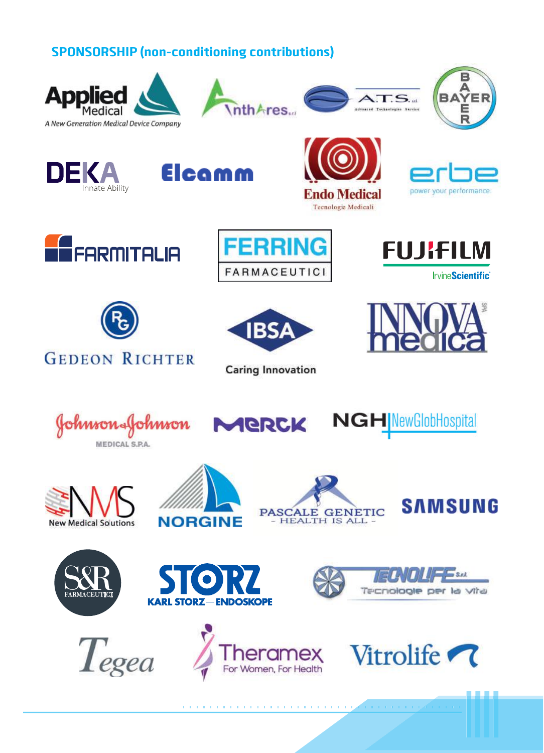## SPONSORSHIP (non-conditioning contributions)

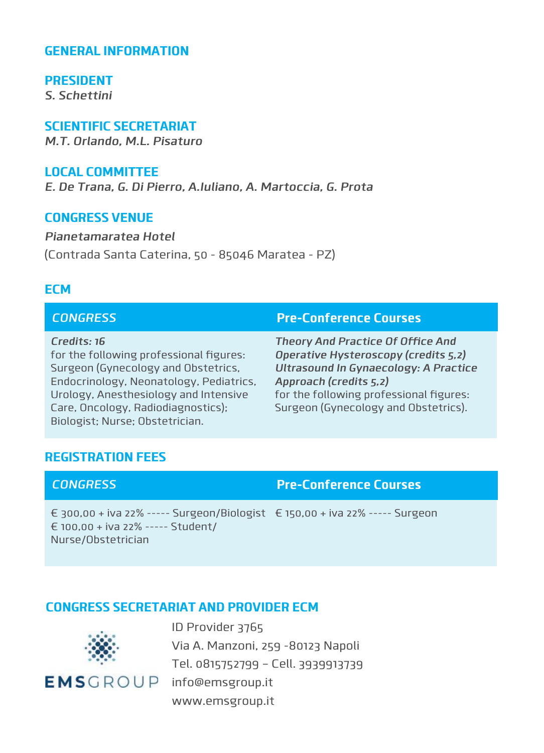#### GENERAL INFORMATION

#### PRESIDENT

**S. Schettini**

#### SCIENTIFIC SECRETARIAT

**M.T. Orlando, M.L. Pisaturo**

#### LOCAL COMMITTEE

**E. De Trana, G. Di Pierro, A.Iuliano, A. Martoccia, G. Prota**

#### CONGRESS VENUE

#### **Pianetamaratea Hotel**

(Contrada Santa Caterina, 50 - 85046 Maratea - PZ)

#### **ECM**

| <b>CONGRESS</b>                                                                                                                                                                                                                                            | <b>Pre-Conference Courses</b>                                                                                                                                                                                                          |
|------------------------------------------------------------------------------------------------------------------------------------------------------------------------------------------------------------------------------------------------------------|----------------------------------------------------------------------------------------------------------------------------------------------------------------------------------------------------------------------------------------|
| Credits: 16<br>for the following professional figures:<br>Surgeon (Gynecology and Obstetrics,<br>Endocrinology, Neonatology, Pediatrics,<br>Urology, Anesthesiology and Intensive<br>Care, Oncology, Radiodiagnostics);<br>Biologist; Nurse; Obstetrician. | <b>Theory And Practice Of Office And</b><br>Operative Hysteroscopy (credits 5,2)<br>Ultrasound In Gynaecology: A Practice<br>Approach (credits 5,2)<br>for the following professional figures:<br>Surgeon (Gynecology and Obstetrics). |
|                                                                                                                                                                                                                                                            |                                                                                                                                                                                                                                        |

#### REGISTRATION FEES

| <b>CONGRESS</b> | <b>Pre-Conference Courses</b> |
|-----------------|-------------------------------|
|                 |                               |

€ 300,00 + iva 22% ----- Surgeon/Biologist € 150,00 + iva 22% ----- Surgeon € 100,00 + iva 22% ----- Student/ Nurse/Obstetrician

## CONGRESS SECRETARIAT AND PROVIDER ECM



ID Provider 3765 Via A. Manzoni, 259 -80123 Napoli Tel. 0815752799 – Cell. 3939913739 www.emsgroup.it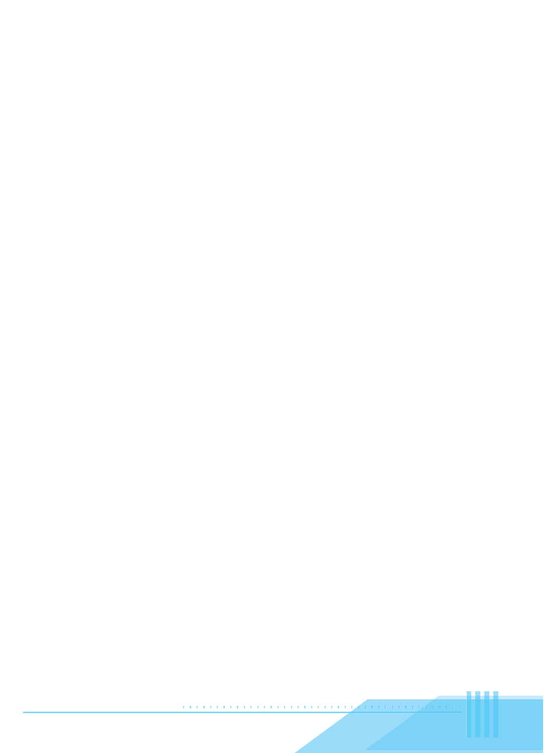$1 - 1/2$ 

. . . .